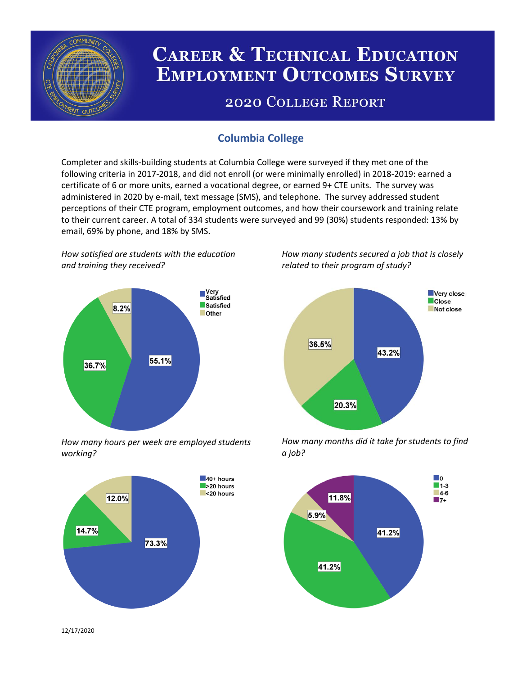

# **CAREER & TECHNICAL EDUCATION EMPLOYMENT OUTCOMES SURVEY**

## **2020 COLLEGE REPORT**

## **Columbia College**

Completer and skills-building students at Columbia College were surveyed if they met one of the following criteria in 2017-2018, and did not enroll (or were minimally enrolled) in 2018-2019: earned a certificate of 6 or more units, earned a vocational degree, or earned 9+ CTE units. The survey was administered in 2020 by e-mail, text message (SMS), and telephone. The survey addressed student perceptions of their CTE program, employment outcomes, and how their coursework and training relate to their current career. A total of 334 students were surveyed and 99 (30%) students responded: 13% by email, 69% by phone, and 18% by SMS.

*How satisfied are students with the education and training they received?*



*How many hours per week are employed students working?*



*How many students secured a job that is closely related to their program of study?*



*How many months did it take for students to find a job?*



12/17/2020